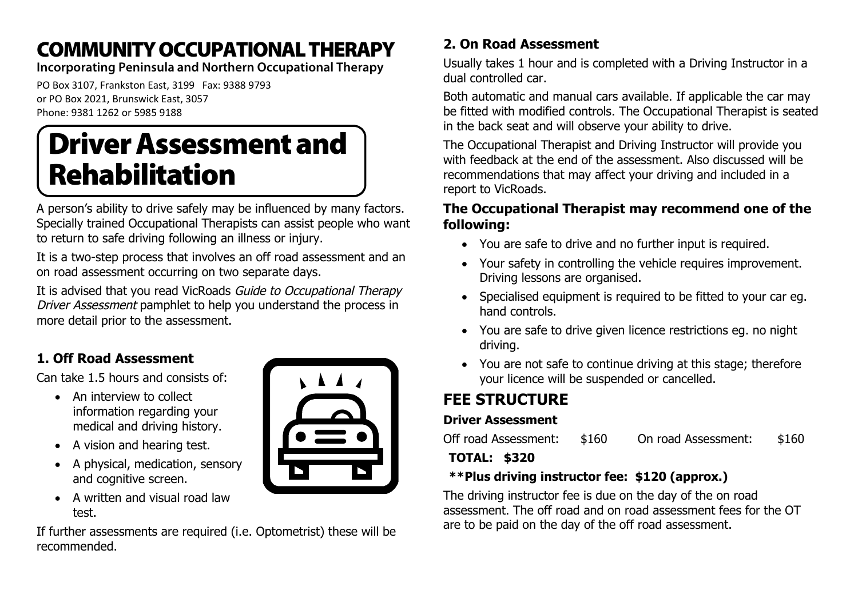# COMMUNITYOCCUPATIONALTHERAPY

**Incorporating Peninsula and Northern Occupational Therapy**

PO Box 3107, Frankston East, 3199 Fax: 9388 9793 or PO Box 2021, Brunswick East, 3057 Phone: 9381 1262 or 5985 9188

# **Driver Assessment and** Rehabilitation

A person's ability to drive safely may be influenced by many factors. Specially trained Occupational Therapists can assist people who want to return to safe driving following an illness or injury.

It is a two-step process that involves an off road assessment and an on road assessment occurring on two separate days.

It is advised that you read VicRoads Guide to Occupational Therapy Driver Assessment pamphlet to help you understand the process in more detail prior to the assessment.

## **1. Off Road Assessment**

Can take 1.5 hours and consists of:

- An interview to collect information regarding your medical and driving history.
- A vision and hearing test.
- A physical, medication, sensory and cognitive screen.
- A written and visual road law test.

If further assessments are required (i.e. Optometrist) these will be recommended.



## **2. On Road Assessment**

Usually takes 1 hour and is completed with a Driving Instructor in a dual controlled car.

Both automatic and manual cars available. If applicable the car may be fitted with modified controls. The Occupational Therapist is seated in the back seat and will observe your ability to drive.

The Occupational Therapist and Driving Instructor will provide you with feedback at the end of the assessment. Also discussed will be recommendations that may affect your driving and included in a report to VicRoads.

#### **The Occupational Therapist may recommend one of the following:**

- You are safe to drive and no further input is required.
- Your safety in controlling the vehicle requires improvement. Driving lessons are organised.
- Specialised equipment is required to be fitted to your car eq. hand controls.
- You are safe to drive given licence restrictions eg. no night driving.
- You are not safe to continue driving at this stage; therefore your licence will be suspended or cancelled.

# **FEE STRUCTURE**

#### **Driver Assessment**

Off road Assessment: \$160 On road Assessment: \$160

#### **TOTAL: \$320**

#### **\*\*Plus driving instructor fee: \$120 (approx.)**

The driving instructor fee is due on the day of the on road assessment. The off road and on road assessment fees for the OT are to be paid on the day of the off road assessment.